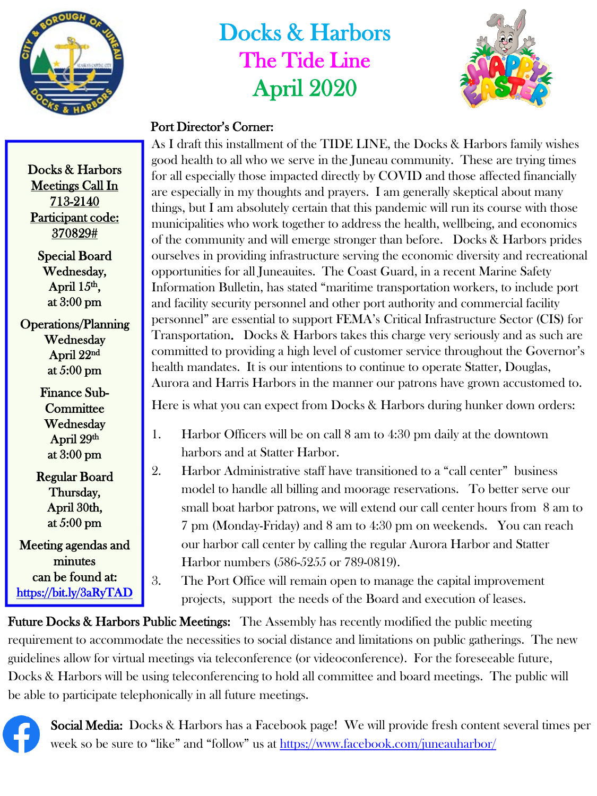

## Docks & Harbors The Tide Line April 2020



## Port Director's Corner:

As I draft this installment of the TIDE LINE, the Docks & Harbors family wishes good health to all who we serve in the Juneau community. These are trying times for all especially those impacted directly by COVID and those affected financially are especially in my thoughts and prayers. I am generally skeptical about many things, but I am absolutely certain that this pandemic will run its course with those municipalities who work together to address the health, wellbeing, and economics of the community and will emerge stronger than before. Docks & Harbors prides ourselves in providing infrastructure serving the economic diversity and recreational opportunities for all Juneauites. The Coast Guard, in a recent Marine Safety Information Bulletin, has stated "maritime transportation workers, to include port and facility security personnel and other port authority and commercial facility personnel" are essential to support FEMA's Critical Infrastructure Sector (CIS) for Transportation. Docks & Harbors takes this charge very seriously and as such are committed to providing a high level of customer service throughout the Governor's health mandates. It is our intentions to continue to operate Statter, Douglas, Aurora and Harris Harbors in the manner our patrons have grown accustomed to.

Here is what you can expect from Docks & Harbors during hunker down orders:

- 1. Harbor Officers will be on call 8 am to 4:30 pm daily at the downtown harbors and at Statter Harbor.
- 2. Harbor Administrative staff have transitioned to a "call center" business model to handle all billing and moorage reservations. To better serve our small boat harbor patrons, we will extend our call center hours from 8 am to 7 pm (Monday-Friday) and 8 am to 4:30 pm on weekends. You can reach our harbor call center by calling the regular Aurora Harbor and Statter Harbor numbers (586-5255 or 789-0819).

3. The Port Office will remain open to manage the capital improvement projects, support the needs of the Board and execution of leases.

**Future Docks & Harbors Public Meetings:** The Assembly has recently modified the public meeting requirement to accommodate the necessities to social distance and limitations on public gatherings. The new guidelines allow for virtual meetings via teleconference (or videoconference). For the foreseeable future, Docks & Harbors will be using teleconferencing to hold all committee and board meetings. The public will be able to participate telephonically in all future meetings.

Social Media: Docks & Harbors has a Facebook page! We will provide fresh content several times per week so be sure to "like" and "follow" us at<https://www.facebook.com/juneauharbor/>

Docks & Harbors Meetings Call In 713-2140 Participant code: 370829#

> Special Board Wednesday, April  $15<sup>th</sup>$ , at 3:00 pm

Operations/Planning Wednesday April 22nd at 5:00 pm

> Finance Sub-**Committee Wednesday** April 29th at 3:00 pm

Regular Board Thursday, April 30th, at 5:00 pm

Meeting agendas and minutes can be found at: <https://bit.ly/3aRyTAD>